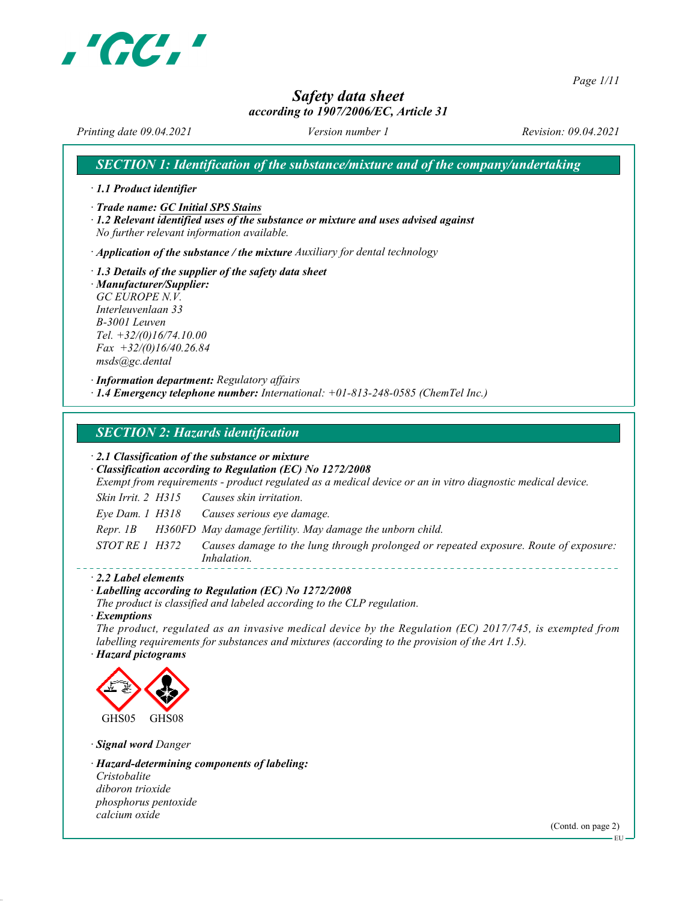

Page 1/11

## Safety data sheet

## according to 1907/2006/EC, Article 31

Printing date 09.04.2021 Version number 1 Revision: 09.04.2021

SECTION 1: Identification of the substance/mixture and of the company/undertaking

· 1.1 Product identifier

· Trade name: GC Initial SPS Stains

· 1.2 Relevant identified uses of the substance or mixture and uses advised against No further relevant information available.

 $\cdot$  Application of the substance / the mixture Auxiliary for dental technology

· 1.3 Details of the supplier of the safety data sheet · Manufacturer/Supplier: GC EUROPE N.V. Interleuvenlaan 33 B-3001 Leuven Tel. +32/(0)16/74.10.00  $Fax +32/(0)16/40.26.84$ msds@gc.dental

· Information department: Regulatory affairs  $\cdot$  1.4 Emergency telephone number: International:  $+01-813-248-0585$  (ChemTel Inc.)

## SECTION 2: Hazards identification

· 2.1 Classification of the substance or mixture

· Classification according to Regulation (EC) No 1272/2008

Exempt from requirements - product regulated as a medical device or an in vitro diagnostic medical device.

Skin Irrit. 2 H315 Causes skin irritation.

Eye Dam. 1 H318 Causes serious eye damage.

Repr. 1B H360FD May damage fertility. May damage the unborn child.

STOT RE 1 H372 Causes damage to the lung through prolonged or repeated exposure. Route of exposure: Inhalation. 

· 2.2 Label elements

## · Labelling according to Regulation (EC) No 1272/2008

The product is classified and labeled according to the CLP regulation.

#### · Exemptions

The product, regulated as an invasive medical device by the Regulation (EC) 2017/745, is exempted from labelling requirements for substances and mixtures (according to the provision of the Art 1.5).

#### · Hazard pictograms



· Signal word Danger

· Hazard-determining components of labeling:

Cristobalite diboron trioxide phosphorus pentoxide calcium oxide

(Contd. on page 2)

EU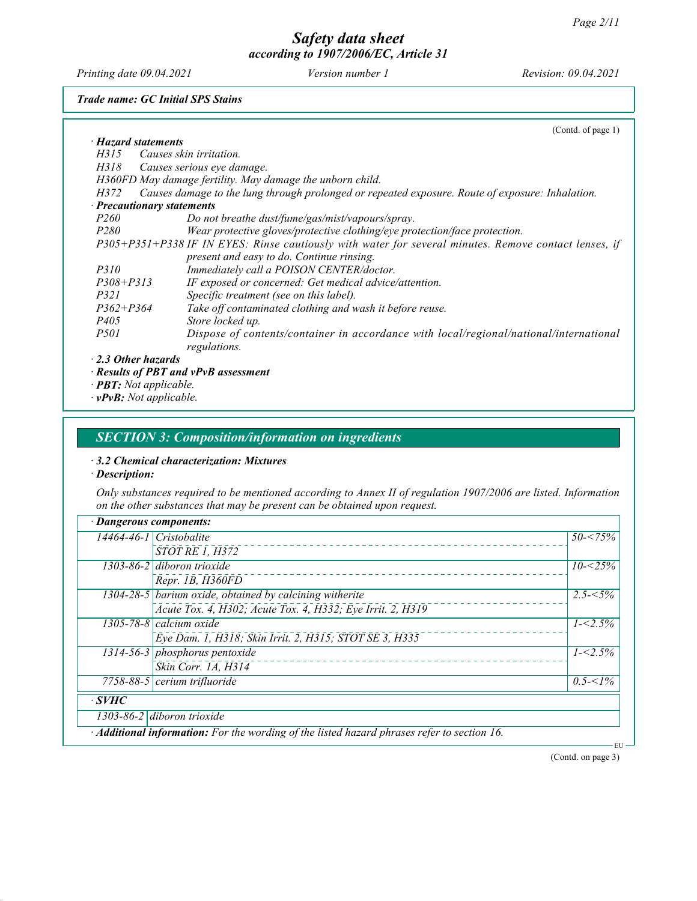Printing date 09.04.2021 Version number 1 Revision: 09.04.2021

Trade name: GC Initial SPS Stains

|                                  | (Cond. of page 1)                                                                                      |
|----------------------------------|--------------------------------------------------------------------------------------------------------|
| $\cdot$ Hazard statements        |                                                                                                        |
| H315                             | Causes skin irritation.                                                                                |
| H318                             | Causes serious eye damage.                                                                             |
|                                  | H360FD May damage fertility. May damage the unborn child.                                              |
| H372                             | Causes damage to the lung through prolonged or repeated exposure. Route of exposure: Inhalation.       |
| $\cdot$ Precautionary statements |                                                                                                        |
| <i>P260</i>                      | Do not breathe dust/fume/gas/mist/vapours/spray.                                                       |
| <i>P280</i>                      | Wear protective gloves/protective clothing/eye protection/face protection.                             |
|                                  | P305+P351+P338 IF IN EYES: Rinse cautiously with water for several minutes. Remove contact lenses, if  |
|                                  | present and easy to do. Continue rinsing.                                                              |
| <i>P310</i>                      | Immediately call a POISON CENTER/doctor.                                                               |
| $P308 + P313$                    | IF exposed or concerned: Get medical advice/attention.                                                 |
| <i>P321</i>                      | Specific treatment (see on this label).                                                                |
| $P362 + P364$                    | Take off contaminated clothing and wash it before reuse.                                               |
| <i>P405</i>                      | Store locked up.                                                                                       |
| <i>P501</i>                      | Dispose of contents/container in accordance with local/regional/national/international<br>regulations. |

- **Results of PBI and** · PBT: Not applicable.
- · vPvB: Not applicable.

## SECTION 3: Composition/information on ingredients

#### · 3.2 Chemical characterization: Mixtures

· Description:

Only substances required to be mentioned according to Annex II of regulation 1907/2006 are listed. Information on the other substances that may be present can be obtained upon request.

|              | $14464 - 46 - 1$ Cristobalite                                                               | $50 - 75\%$ |
|--------------|---------------------------------------------------------------------------------------------|-------------|
|              | <b>STOT RE 1, H372</b>                                                                      |             |
|              | 1303-86-2 diboron trioxide                                                                  | $10 - 25\%$ |
|              | Repr. 1B, H360FD                                                                            |             |
|              | $1304-28-5$ barium oxide, obtained by calcining witherite                                   | $2.5 - 5\%$ |
|              | Acute Tox. 4, H302; Acute Tox. 4, H332; Eye Irrit. 2, H319                                  |             |
|              | 1305-78-8 calcium oxide                                                                     | $1 - 2.5\%$ |
|              | Eye Dam. 1, H318; Skin Irrit. 2, H315; STOT SE 3, H335                                      |             |
|              | $1314-56-3$ phosphorus pentoxide                                                            | $1 - 2.5\%$ |
|              | Skin Corr. 1A, H314                                                                         |             |
|              | $7758-88-5$ cerium trifluoride                                                              | $0.5 < 1\%$ |
| $\cdot$ SVHC |                                                                                             |             |
|              | 1303-86-2 diboron trioxide                                                                  |             |
|              | · Additional information: For the wording of the listed hazard phrases refer to section 16. |             |

(Contd. on page 3)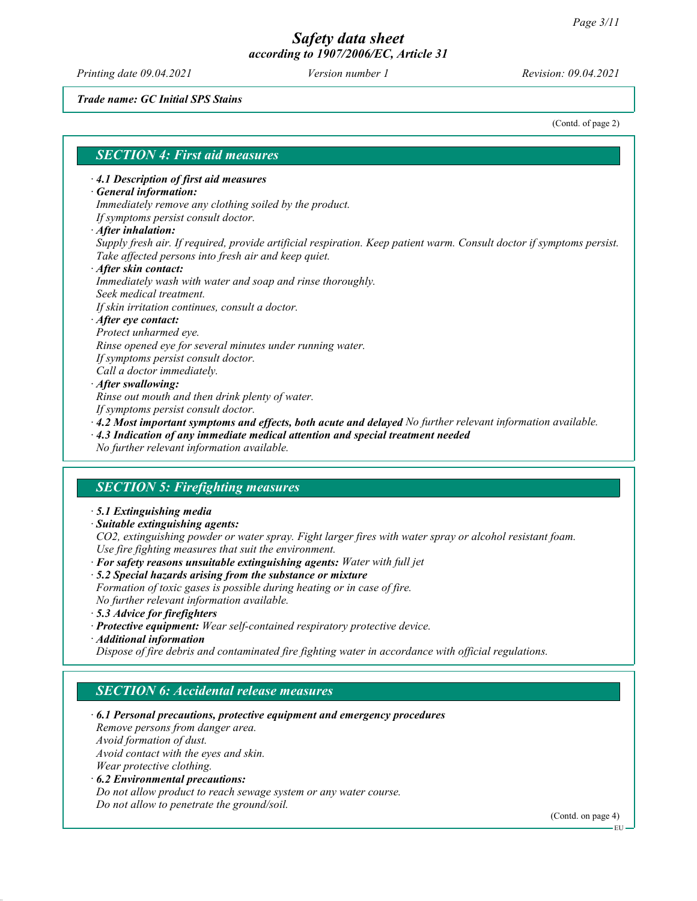Printing date 09.04.2021 Version number 1 Revision: 09.04.2021

Trade name: GC Initial SPS Stains

(Contd. of page 2)

## SECTION 4: First aid measures

#### · 4.1 Description of first aid measures

#### · General information:

Immediately remove any clothing soiled by the product. If symptoms persist consult doctor.

- · After inhalation:
- Supply fresh air. If required, provide artificial respiration. Keep patient warm. Consult doctor if symptoms persist. Take affected persons into fresh air and keep quiet.

#### · After skin contact: Immediately wash with water and soap and rinse thoroughly. Seek medical treatment. If skin irritation continues, consult a doctor. · After eye contact:

Protect unharmed eye. Rinse opened eye for several minutes under running water. If symptoms persist consult doctor.

- Call a doctor immediately.
- · After swallowing:

Rinse out mouth and then drink plenty of water.

- If symptoms persist consult doctor.
- $\cdot$  4.2 Most important symptoms and effects, both acute and delayed No further relevant information available.
- · 4.3 Indication of any immediate medical attention and special treatment needed
- No further relevant information available.

## SECTION 5: Firefighting measures

- · 5.1 Extinguishing media
- · Suitable extinguishing agents:

CO2, extinguishing powder or water spray. Fight larger fires with water spray or alcohol resistant foam. Use fire fighting measures that suit the environment.

- · For safety reasons unsuitable extinguishing agents: Water with full jet
- · 5.2 Special hazards arising from the substance or mixture
- Formation of toxic gases is possible during heating or in case of fire.
- No further relevant information available.
- · 5.3 Advice for firefighters
- · Protective equipment: Wear self-contained respiratory protective device.
- · Additional information

Dispose of fire debris and contaminated fire fighting water in accordance with official regulations.

## SECTION 6: Accidental release measures

· 6.1 Personal precautions, protective equipment and emergency procedures

Remove persons from danger area. Avoid formation of dust.

Avoid contact with the eyes and skin.

Wear protective clothing.

· 6.2 Environmental precautions:

Do not allow product to reach sewage system or any water course. Do not allow to penetrate the ground/soil.

(Contd. on page 4)

**EU**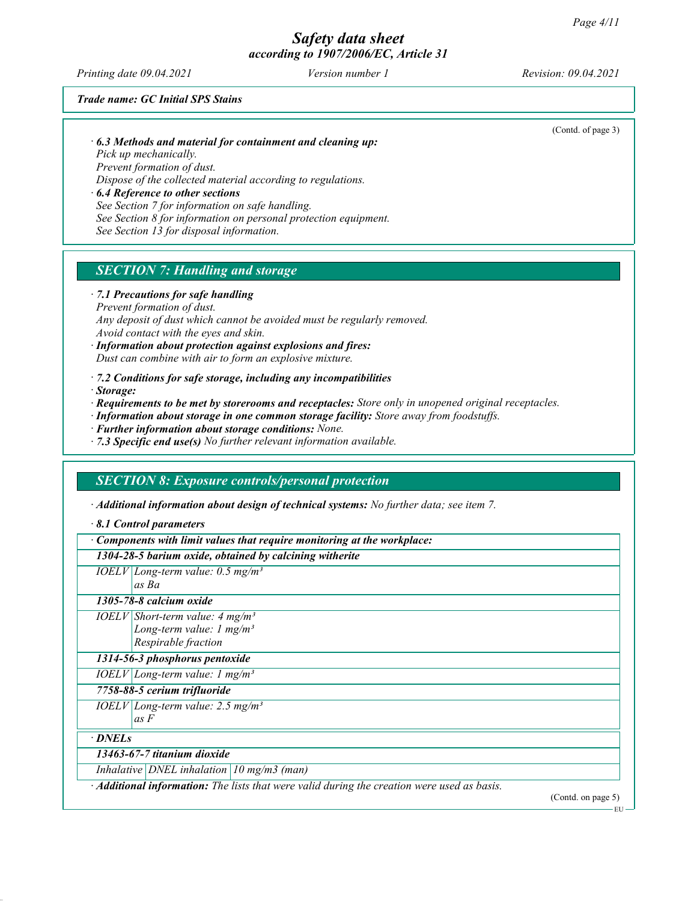Printing date 09.04.2021 Version number 1 Revision: 09.04.2021

(Contd. of page 3)

Trade name: GC Initial SPS Stains

· 6.3 Methods and material for containment and cleaning up:

Pick up mechanically.

Prevent formation of dust.

Dispose of the collected material according to regulations.

· 6.4 Reference to other sections

See Section 7 for information on safe handling. See Section 8 for information on personal protection equipment.

See Section 13 for disposal information.

## **SECTION 7: Handling and storage**

· 7.1 Precautions for safe handling

Prevent formation of dust. Any deposit of dust which cannot be avoided must be regularly removed. Avoid contact with the eyes and skin.

· Information about protection against explosions and fires: Dust can combine with air to form an explosive mixture.

 $\cdot$  7.2 Conditions for safe storage, including any incompatibilities

· Storage:

· Requirements to be met by storerooms and receptacles: Store only in unopened original receptacles.

- · Information about storage in one common storage facility: Store away from foodstuffs.
- · Further information about storage conditions: None.
- $\cdot$  7.3 Specific end use(s) No further relevant information available.

## SECTION 8: Exposure controls/personal protection

· Additional information about design of technical systems: No further data; see item 7.

· 8.1 Control parameters

| $\cdot$ Components with limit values that require monitoring at the workplace:                           |  |  |
|----------------------------------------------------------------------------------------------------------|--|--|
| 1304-28-5 barium oxide, obtained by calcining witherite                                                  |  |  |
| $IOELV   Long-term value: 0.5 mg/m3$                                                                     |  |  |
| as Ba                                                                                                    |  |  |
| 1305-78-8 calcium oxide                                                                                  |  |  |
| $IOELV Short-term value: 4 mg/m3$                                                                        |  |  |
| Long-term value: $1 \text{ mg/m}^3$                                                                      |  |  |
| Respirable fraction                                                                                      |  |  |
| 1314-56-3 phosphorus pentoxide                                                                           |  |  |
| $IOELV   Long-term value: 1 mg/m3$                                                                       |  |  |
| 7758-88-5 cerium trifluoride                                                                             |  |  |
| $IOELV   Long-term value: 2.5 mg/m3$                                                                     |  |  |
| as F                                                                                                     |  |  |
| · DNELs                                                                                                  |  |  |
| 13463-67-7 titanium dioxide                                                                              |  |  |
| Inhalative   DNEL inhalation   10 mg/m3 (man)                                                            |  |  |
| $\cdot$ <b>Additional information:</b> The lists that were valid during the creation were used as basis. |  |  |
| (Contd. on page 5)                                                                                       |  |  |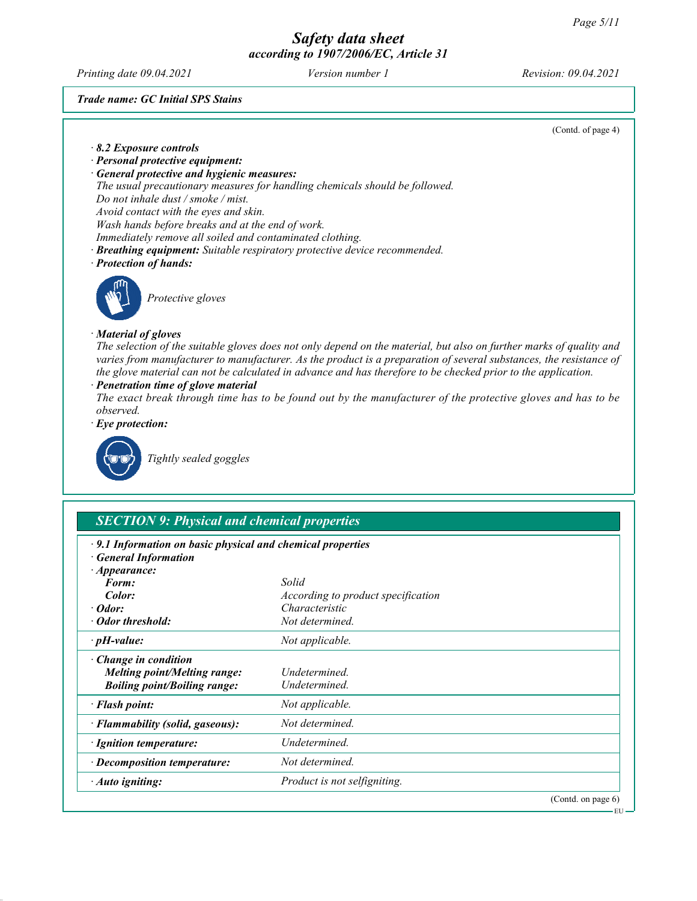EU

## Safety data sheet according to 1907/2006/EC, Article 31

Printing date 09.04.2021 Version number 1 Revision: 09.04.2021

Trade name: GC Initial SPS Stains

| (Contd. of page 4)                                                                                                                                                                                                                                                                                                                                         |
|------------------------------------------------------------------------------------------------------------------------------------------------------------------------------------------------------------------------------------------------------------------------------------------------------------------------------------------------------------|
| $\cdot$ 8.2 Exposure controls                                                                                                                                                                                                                                                                                                                              |
| · Personal protective equipment:                                                                                                                                                                                                                                                                                                                           |
| <b>General protective and hygienic measures:</b>                                                                                                                                                                                                                                                                                                           |
| The usual precautionary measures for handling chemicals should be followed.                                                                                                                                                                                                                                                                                |
| Do not inhale dust / smoke / mist.                                                                                                                                                                                                                                                                                                                         |
| Avoid contact with the eyes and skin.                                                                                                                                                                                                                                                                                                                      |
| Wash hands before breaks and at the end of work.<br>Immediately remove all soiled and contaminated clothing.                                                                                                                                                                                                                                               |
| · Breathing equipment: Suitable respiratory protective device recommended.                                                                                                                                                                                                                                                                                 |
| · Protection of hands:                                                                                                                                                                                                                                                                                                                                     |
|                                                                                                                                                                                                                                                                                                                                                            |
| Protective gloves                                                                                                                                                                                                                                                                                                                                          |
| · Material of gloves                                                                                                                                                                                                                                                                                                                                       |
| The selection of the suitable gloves does not only depend on the material, but also on further marks of quality and<br>varies from manufacturer to manufacturer. As the product is a preparation of several substances, the resistance of<br>the glove material can not be calculated in advance and has therefore to be checked prior to the application. |
| · Penetration time of glove material                                                                                                                                                                                                                                                                                                                       |
| The exact break through time has to be found out by the manufacturer of the protective gloves and has to be                                                                                                                                                                                                                                                |
| observed                                                                                                                                                                                                                                                                                                                                                   |
| $\cdot$ Eye protection:                                                                                                                                                                                                                                                                                                                                    |
| Tightly sealed goggles                                                                                                                                                                                                                                                                                                                                     |

## SECTION 9: Physical and chemical properties

| $522$ and $7.7$ and $7.7$ and $7.7$ and $7.7$ and $7.7$ and $7.7$ and $7.7$ and $7.7$ and $7.7$ and $7.7$ and $7.7$ and $7.7$ and $7.7$ and $7.7$ and $7.7$ and $7.7$ and $7.7$ and $7.7$ and $7.7$ and $7.7$ and $7.7$ and |                                    |                    |
|-----------------------------------------------------------------------------------------------------------------------------------------------------------------------------------------------------------------------------|------------------------------------|--------------------|
| $\cdot$ 9.1 Information on basic physical and chemical properties<br><b>General Information</b><br>$\cdot$ Appearance:                                                                                                      |                                    |                    |
| Form:                                                                                                                                                                                                                       | Solid                              |                    |
| Color:                                                                                                                                                                                                                      | According to product specification |                    |
| $\cdot$ Odor:                                                                                                                                                                                                               | Characteristic                     |                    |
| · Odor threshold:                                                                                                                                                                                                           | Not determined.                    |                    |
| $\cdot$ pH-value:                                                                                                                                                                                                           | Not applicable.                    |                    |
| $\cdot$ Change in condition                                                                                                                                                                                                 |                                    |                    |
| <b>Melting point/Melting range:</b>                                                                                                                                                                                         | Undetermined.                      |                    |
| <b>Boiling point/Boiling range:</b>                                                                                                                                                                                         | Undetermined.                      |                    |
| · Flash point:                                                                                                                                                                                                              | Not applicable.                    |                    |
| · Flammability (solid, gaseous):                                                                                                                                                                                            | Not determined.                    |                    |
| · Ignition temperature:                                                                                                                                                                                                     | Undetermined.                      |                    |
| $\cdot$ Decomposition temperature:                                                                                                                                                                                          | Not determined.                    |                    |
| · Auto igniting:                                                                                                                                                                                                            | Product is not selfigniting.       |                    |
|                                                                                                                                                                                                                             |                                    | (Contd. on page 6) |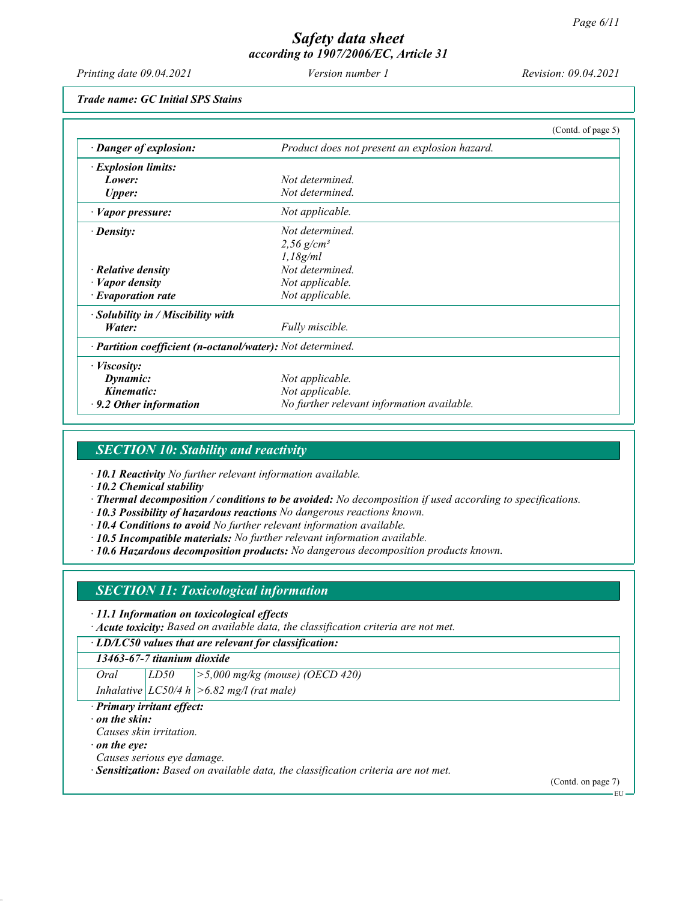Printing date 09.04.2021 Version number 1 Revision: 09.04.2021

Trade name: GC Initial SPS Stains

|                                                            |                                               | (Contd. of page 5) |
|------------------------------------------------------------|-----------------------------------------------|--------------------|
| · Danger of explosion:                                     | Product does not present an explosion hazard. |                    |
| $\cdot$ Explosion limits:                                  |                                               |                    |
| Lower:                                                     | Not determined.                               |                    |
| <b>Upper:</b>                                              | Not determined.                               |                    |
| · Vapor pressure:                                          | Not applicable.                               |                    |
| $\cdot$ Density:                                           | Not determined.                               |                    |
|                                                            | $2,56$ g/cm <sup>3</sup>                      |                    |
|                                                            | 1,18g/ml                                      |                    |
| $\cdot$ Relative density                                   | Not determined.                               |                    |
| $\cdot$ <i>Vapor density</i>                               | Not applicable.                               |                    |
| $\cdot$ Evaporation rate                                   | Not applicable.                               |                    |
| · Solubility in / Miscibility with                         |                                               |                    |
| Water:                                                     | Fully miscible.                               |                    |
| · Partition coefficient (n-octanol/water): Not determined. |                                               |                    |
| · <i>Viscosity</i> :                                       |                                               |                    |
| Dynamic:                                                   | Not applicable.                               |                    |
| Kinematic:                                                 | Not applicable.                               |                    |
| $\cdot$ 9.2 Other information                              | No further relevant information available.    |                    |

## SECTION 10: Stability and reactivity

· 10.1 Reactivity No further relevant information available.

· 10.2 Chemical stability

· Thermal decomposition / conditions to be avoided: No decomposition if used according to specifications.

- · 10.3 Possibility of hazardous reactions No dangerous reactions known.
- $\cdot$  10.4 Conditions to avoid No further relevant information available.
- · 10.5 Incompatible materials: No further relevant information available.
- · 10.6 Hazardous decomposition products: No dangerous decomposition products known.

## SECTION 11: Toxicological information

· 11.1 Information on toxicological effects

· Acute toxicity: Based on available data, the classification criteria are not met.

· LD/LC50 values that are relevant for classification:

## 13463-67-7 titanium dioxide

Oral LD50 >5,000 mg/kg (mouse) (OECD 420)

Inhalative  $|LCS0/4 h| > 6.82$  mg/l (rat male)

· Primary irritant effect:

### on the skin:

Causes skin irritation.

· on the eye:

Causes serious eye damage.

· Sensitization: Based on available data, the classification criteria are not met.

(Contd. on page 7)

EU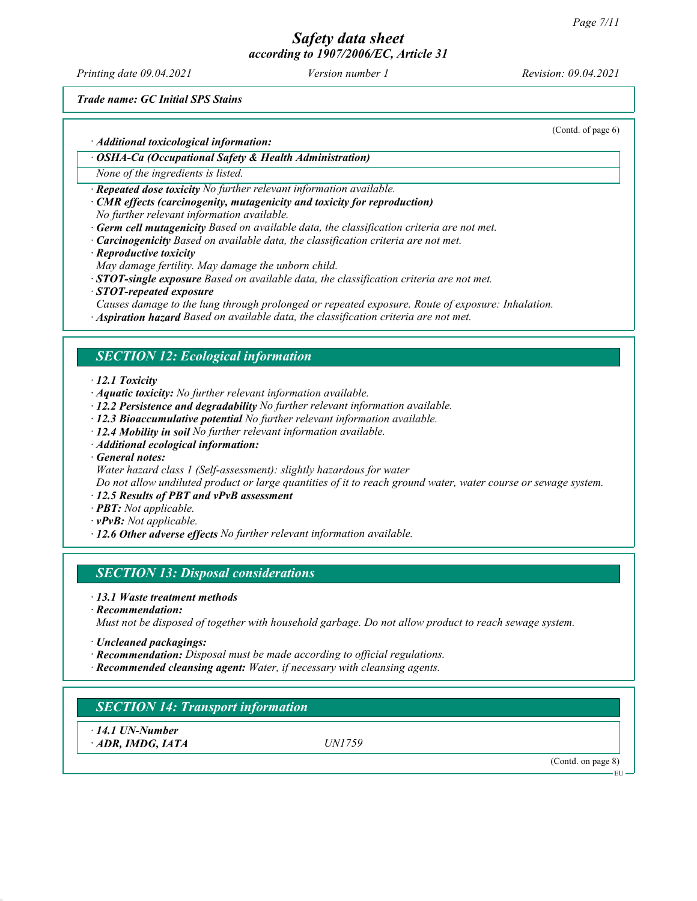# Safety data sheet

according to 1907/2006/EC, Article 31

Printing date 09.04.2021 Version number 1 Revision: 09.04.2021

(Contd. of page 6)

Trade name: GC Initial SPS Stains

· Additional toxicological information:

· OSHA-Ca (Occupational Safety & Health Administration)

None of the ingredients is listed.

· Repeated dose toxicity No further relevant information available.

· CMR effects (carcinogenity, mutagenicity and toxicity for reproduction)

No further relevant information available.

- $\cdot$  Germ cell mutagenicity Based on available data, the classification criteria are not met.
- $\cdot$  **Carcinogenicity** Based on available data, the classification criteria are not met.
- · Reproductive toxicity

May damage fertility. May damage the unborn child.

 $\cdot$  **STOT-single exposure** Based on available data, the classification criteria are not met.

· STOT-repeated exposure

Causes damage to the lung through prolonged or repeated exposure. Route of exposure: Inhalation.

· Aspiration hazard Based on available data, the classification criteria are not met.

## SECTION 12: Ecological information

· 12.1 Toxicity

- · Aquatic toxicity: No further relevant information available.
- · 12.2 Persistence and degradability No further relevant information available.
- · 12.3 Bioaccumulative potential No further relevant information available.
- · 12.4 Mobility in soil No further relevant information available.
- · Additional ecological information:

· General notes:

Water hazard class 1 (Self-assessment): slightly hazardous for water

Do not allow undiluted product or large quantities of it to reach ground water, water course or sewage system.

- · 12.5 Results of PBT and vPvB assessment
- · PBT: Not applicable.
- $\cdot$  vPvB: Not applicable.
- $\cdot$  12.6 Other adverse effects No further relevant information available.

## SECTION 13: Disposal considerations

- · 13.1 Waste treatment methods
- · Recommendation:

Must not be disposed of together with household garbage. Do not allow product to reach sewage system.

- · Uncleaned packagings:
- · Recommendation: Disposal must be made according to official regulations.
- · Recommended cleansing agent: Water, if necessary with cleansing agents.

## SECTION 14: Transport information

· 14.1 UN-Number  $\cdot$  ADR, IMDG, IATA UN1759

(Contd. on page 8)

EU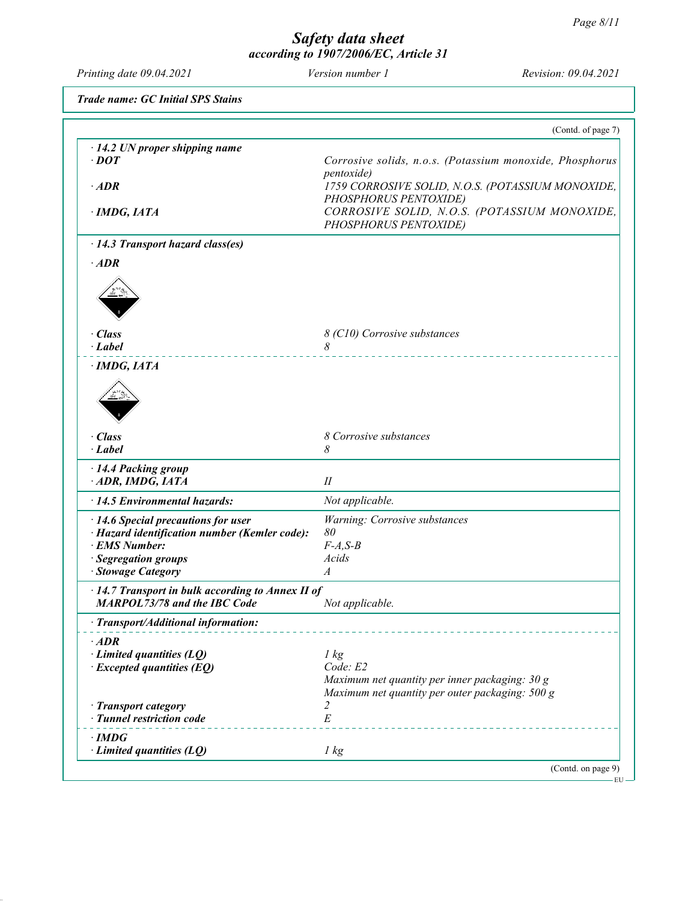Printing date 09.04.2021 Version number 1 Revision: 09.04.2021

Trade name: GC Initial SPS Stains

|                                                                                          | (Contd. of page 7)                                                      |
|------------------------------------------------------------------------------------------|-------------------------------------------------------------------------|
| $\cdot$ 14.2 UN proper shipping name                                                     |                                                                         |
| $\cdot$ DOT                                                                              | Corrosive solids, n.o.s. (Potassium monoxide, Phosphorus                |
| $\cdot$ ADR                                                                              | <i>pentoxide</i> )<br>1759 CORROSIVE SOLID, N.O.S. (POTASSIUM MONOXIDE, |
|                                                                                          | PHOSPHORUS PENTOXIDE)                                                   |
| · IMDG, IATA                                                                             | CORROSIVE SOLID, N.O.S. (POTASSIUM MONOXIDE,                            |
|                                                                                          | PHOSPHORUS PENTOXIDE)                                                   |
| · 14.3 Transport hazard class(es)                                                        |                                                                         |
| $\cdot$ ADR                                                                              |                                                                         |
|                                                                                          |                                                                         |
|                                                                                          |                                                                         |
|                                                                                          |                                                                         |
| · Class                                                                                  | 8 (C10) Corrosive substances                                            |
| $\cdot$ Label                                                                            | 8                                                                       |
| · IMDG, IATA                                                                             |                                                                         |
|                                                                                          |                                                                         |
|                                                                                          |                                                                         |
|                                                                                          |                                                                         |
|                                                                                          |                                                                         |
| · Class                                                                                  | 8 Corrosive substances                                                  |
| $-Label$                                                                                 | 8                                                                       |
| · 14.4 Packing group                                                                     |                                                                         |
| ADR, IMDG, IATA                                                                          | II                                                                      |
| · 14.5 Environmental hazards:                                                            | Not applicable.                                                         |
| $\cdot$ 14.6 Special precautions for user                                                | Warning: Corrosive substances                                           |
| · Hazard identification number (Kemler code):                                            | 80                                                                      |
| · EMS Number:<br>· Segregation groups                                                    | $F-A, S-B$<br>Acids                                                     |
| · Stowage Category                                                                       | $\boldsymbol{A}$                                                        |
|                                                                                          |                                                                         |
| · 14.7 Transport in bulk according to Annex II of<br><b>MARPOL73/78 and the IBC Code</b> | Not applicable.                                                         |
| · Transport/Additional information:                                                      |                                                                         |
| $\cdot$ ADR                                                                              |                                                                         |
| $\cdot$ Limited quantities (LQ)                                                          | 1 kg                                                                    |
| $\cdot$ Excepted quantities (EQ)                                                         | Code: E2                                                                |
|                                                                                          | Maximum net quantity per inner packaging: 30 g                          |
|                                                                                          | Maximum net quantity per outer packaging: 500 g                         |
|                                                                                          | 2                                                                       |
|                                                                                          |                                                                         |
| · Transport category<br>· Tunnel restriction code                                        | $\cal E$                                                                |
| $\cdot$ IMDG<br>$\cdot$ Limited quantities (LQ)                                          | 1 kg                                                                    |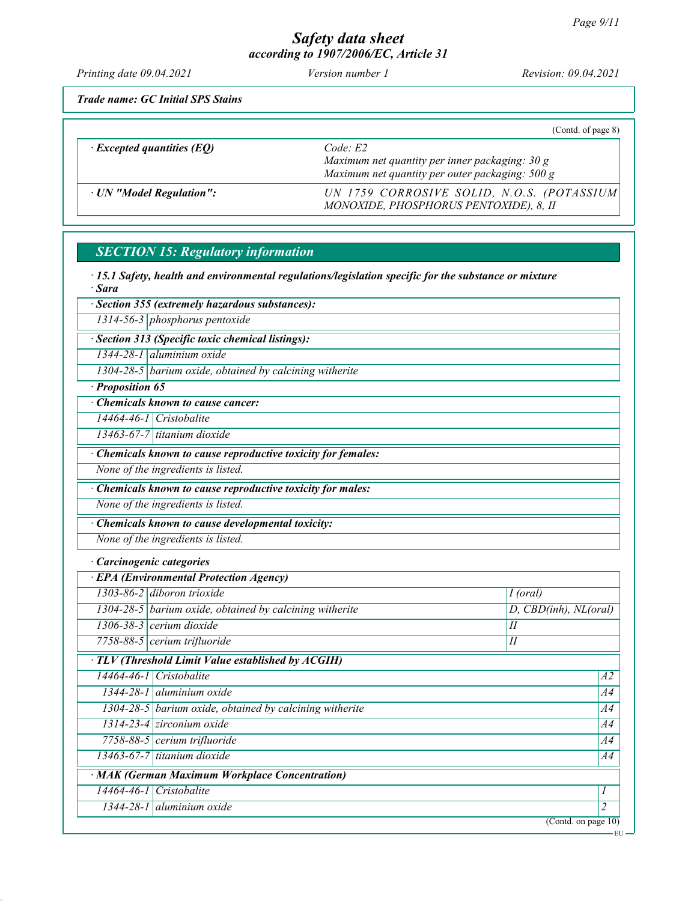Printing date 09.04.2021 Version number 1 Revision: 09.04.2021

Trade name: GC Initial SPS Stains

|                                  | (Contd. of page 8)                                                                                             |
|----------------------------------|----------------------------------------------------------------------------------------------------------------|
| $\cdot$ Excepted quantities (EQ) | Code E2<br>Maximum net quantity per inner packaging: $30 g$<br>Maximum net quantity per outer packaging: 500 g |
| · UN "Model Regulation":         | UN 1759 CORROSIVE SOLID, N.O.S. (POTASSIUM)<br>MONOXIDE, PHOSPHORUS PENTOXIDE), 8, II                          |

## SECTION 15: Regulatory information

· 15.1 Safety, health and environmental regulations/legislation specific for the substance or mixture · Sara

|  |  |  | · Section 355 (extremely hazardous substances): |
|--|--|--|-------------------------------------------------|
|--|--|--|-------------------------------------------------|

1314-56-3 phosphorus pentoxide

· Section 313 (Specific toxic chemical listings):

1344-28-1 aluminium oxide

1304-28-5 barium oxide, obtained by calcining witherite

· Proposition 65

· Chemicals known to cause cancer:

14464-46-1 Cristobalite

13463-67-7 titanium dioxide

· Chemicals known to cause reproductive toxicity for females:

None of the ingredients is listed.

· Chemicals known to cause reproductive toxicity for males:

None of the ingredients is listed.

· Chemicals known to cause developmental toxicity:

None of the ingredients is listed.

· Carcinogenic categories

| $\cdot$ EPA (Environmental Protection Agency)            |                                                           |                                  |  |  |
|----------------------------------------------------------|-----------------------------------------------------------|----------------------------------|--|--|
|                                                          | $1303-86-2$ diboron trioxide                              | I (oral)                         |  |  |
|                                                          | $1304-28-5$ barium oxide, obtained by calcining witherite | $D,$ CBD(inh), $NL$ (oral)       |  |  |
|                                                          | $1306 - 38 - 3$ cerium dioxide                            | П                                |  |  |
|                                                          | $7758-88-5$ cerium trifluoride                            | $I\!I$                           |  |  |
| $\cdot$ TLV (Threshold Limit Value established by ACGIH) |                                                           |                                  |  |  |
|                                                          | $14464 - 46 - 1$ Cristobalite                             | A2                               |  |  |
|                                                          | $1344 - 28 - 1$ aluminium oxide                           | A4                               |  |  |
|                                                          | $1304-28-5$ barium oxide, obtained by calcining witherite | A4                               |  |  |
|                                                          | $1314 - 23 - 4$ zirconium oxide                           | A4                               |  |  |
|                                                          | $7758-88-5$ cerium trifluoride                            | A4                               |  |  |
|                                                          | $13463-67-7$ titanium dioxide                             | A4                               |  |  |
| · MAK (German Maximum Workplace Concentration)           |                                                           |                                  |  |  |
|                                                          | $14464 - 46 - 1$ Cristobalite                             | 1                                |  |  |
|                                                          | $1344 - 28 - 1$ aluminium oxide                           | $\overline{c}$                   |  |  |
|                                                          |                                                           | $\overline{(Contd. on page 10)}$ |  |  |

EU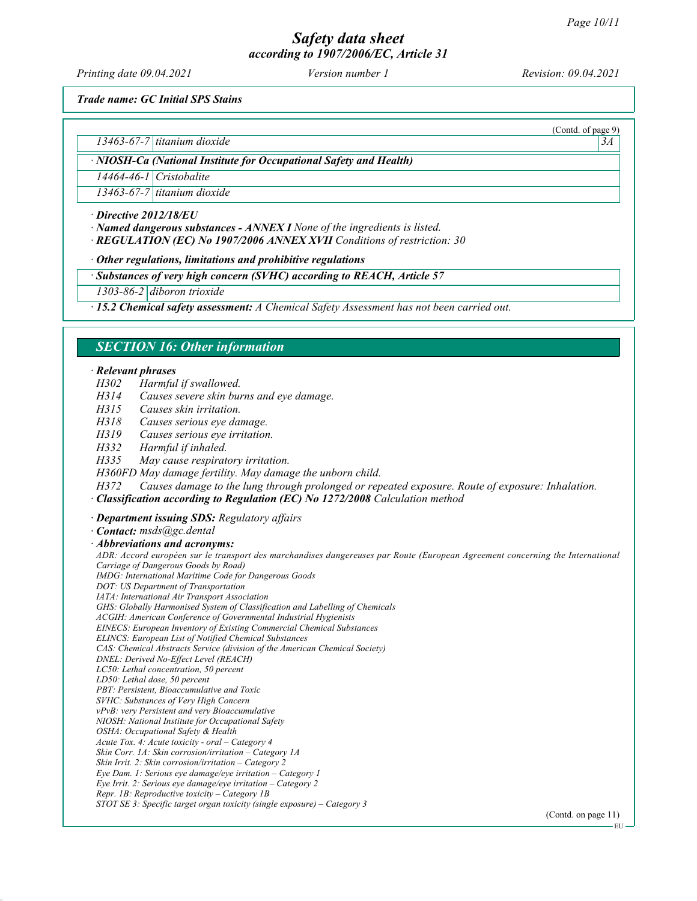Printing date 09.04.2021 Version number 1 Revision: 09.04.2021

(Contd. of page 9)

Trade name: GC Initial SPS Stains

 $13463-67-7$  titanium dioxide  $3A$ 

· NIOSH-Ca (National Institute for Occupational Safety and Health)

14464-46-1 Cristobalite

13463-67-7 titanium dioxide

· Directive 2012/18/EU

· Named dangerous substances - ANNEX I None of the ingredients is listed.

· REGULATION (EC) No 1907/2006 ANNEX XVII Conditions of restriction: 30

· Other regulations, limitations and prohibitive regulations

· Substances of very high concern (SVHC) according to REACH, Article 57

1303-86-2 diboron trioxide

· 15.2 Chemical safety assessment: A Chemical Safety Assessment has not been carried out.

## SECTION 16: Other information

#### · Relevant phrases

H302 Harmful if swallowed.

H314 Causes severe skin burns and eye damage.

H315 Causes skin irritation.

H318 Causes serious eye damage.

H319 Causes serious eye irritation.

H332 Harmful if inhaled.

H335 May cause respiratory irritation.

H360FD May damage fertility. May damage the unborn child.

H372 Causes damage to the lung through prolonged or repeated exposure. Route of exposure: Inhalation.

· Classification according to Regulation (EC) No 1272/2008 Calculation method

· Department issuing SDS: Regulatory affairs

· Contact: msds@gc.dental

· Abbreviations and acronyms: ADR: Accord européen sur le transport des marchandises dangereuses par Route (European Agreement concerning the International Carriage of Dangerous Goods by Road) IMDG: International Maritime Code for Dangerous Goods DOT: US Department of Transportation IATA: International Air Transport Association GHS: Globally Harmonised System of Classification and Labelling of Chemicals ACGIH: American Conference of Governmental Industrial Hygienists EINECS: European Inventory of Existing Commercial Chemical Substances ELINCS: European List of Notified Chemical Substances CAS: Chemical Abstracts Service (division of the American Chemical Society) DNEL: Derived No-Effect Level (REACH) LC50: Lethal concentration, 50 percent LD50: Lethal dose, 50 percent PBT: Persistent, Bioaccumulative and Toxic SVHC: Substances of Very High Concern vPvB: very Persistent and very Bioaccumulative NIOSH: National Institute for Occupational Safety OSHA: Occupational Safety & Health Acute Tox. 4: Acute toxicity - oral – Category 4 Skin Corr. 1A: Skin corrosion/irritation – Category 1A Skin Irrit. 2: Skin corrosion/irritation – Category 2 Eye Dam. 1: Serious eye damage/eye irritation – Category 1 Eye Irrit. 2: Serious eye damage/eye irritation – Category 2 Repr. 1B: Reproductive toxicity – Category 1B STOT SE 3: Specific target organ toxicity (single exposure) – Category 3

(Contd. on page 11)